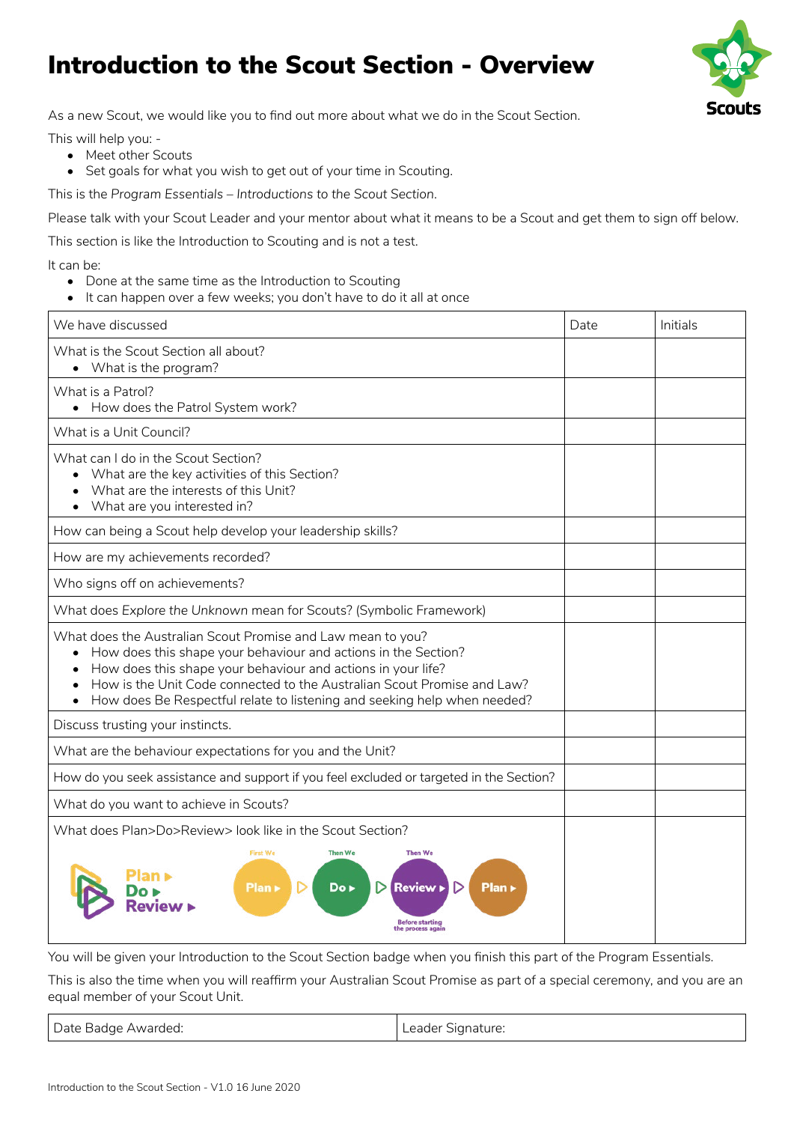## Introduction to the Scout Section - Overview



As a new Scout, we would like you to find out more about what we do in the Scout Section.

This will help you: -

- Meet other Scouts
- Set goals for what you wish to get out of your time in Scouting.

This is the *Program Essentials – Introductions to the Scout Section*.

Please talk with your Scout Leader and your mentor about what it means to be a Scout and get them to sign off below.

This section is like the Introduction to Scouting and is not a test.

It can be:

- Done at the same time as the Introduction to Scouting
- It can happen over a few weeks; you don't have to do it all at once

| We have discussed                                                                                                                                                                                                                                                                                                                                    | Date | Initials |
|------------------------------------------------------------------------------------------------------------------------------------------------------------------------------------------------------------------------------------------------------------------------------------------------------------------------------------------------------|------|----------|
| What is the Scout Section all about?<br>• What is the program?                                                                                                                                                                                                                                                                                       |      |          |
| What is a Patrol?<br>• How does the Patrol System work?                                                                                                                                                                                                                                                                                              |      |          |
| What is a Unit Council?                                                                                                                                                                                                                                                                                                                              |      |          |
| What can I do in the Scout Section?<br>What are the key activities of this Section?<br>What are the interests of this Unit?<br>What are you interested in?                                                                                                                                                                                           |      |          |
| How can being a Scout help develop your leadership skills?                                                                                                                                                                                                                                                                                           |      |          |
| How are my achievements recorded?                                                                                                                                                                                                                                                                                                                    |      |          |
| Who signs off on achievements?                                                                                                                                                                                                                                                                                                                       |      |          |
| What does Explore the Unknown mean for Scouts? (Symbolic Framework)                                                                                                                                                                                                                                                                                  |      |          |
| What does the Australian Scout Promise and Law mean to you?<br>How does this shape your behaviour and actions in the Section?<br>How does this shape your behaviour and actions in your life?<br>How is the Unit Code connected to the Australian Scout Promise and Law?<br>How does Be Respectful relate to listening and seeking help when needed? |      |          |
| Discuss trusting your instincts.                                                                                                                                                                                                                                                                                                                     |      |          |
| What are the behaviour expectations for you and the Unit?                                                                                                                                                                                                                                                                                            |      |          |
| How do you seek assistance and support if you feel excluded or targeted in the Section?                                                                                                                                                                                                                                                              |      |          |
| What do you want to achieve in Scouts?                                                                                                                                                                                                                                                                                                               |      |          |
| What does Plan>Do>Review> look like in the Scout Section?                                                                                                                                                                                                                                                                                            |      |          |
| <b>First We</b><br><b>Then We</b><br><b>Then We</b><br>Plan ><br>$Do \triangleright$<br><b>Review</b><br>Plan »                                                                                                                                                                                                                                      |      |          |

You will be given your Introduction to the Scout Section badge when you finish this part of the Program Essentials.

This is also the time when you will reaffirm your Australian Scout Promise as part of a special ceremony, and you are an equal member of your Scout Unit.

| Date Badge Awarded: |
|---------------------|
|                     |